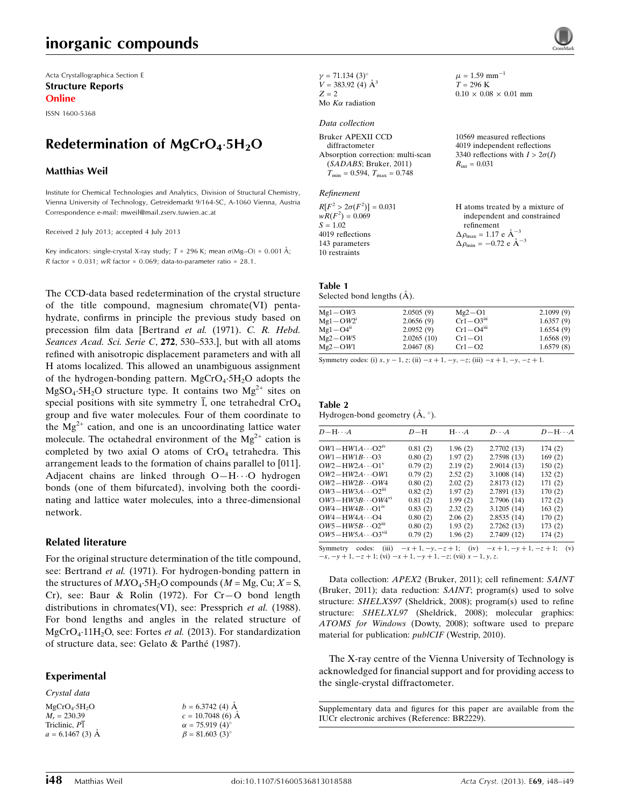# inorganic compounds

Acta Crystallographica Section E Structure Reports Online

ISSN 1600-5368

# Redetermination of MgCrO<sub>4</sub>.5H<sub>2</sub>O

#### Matthias Weil

Institute for Chemical Technologies and Analytics, Division of Structural Chemistry, Vienna University of Technology, Getreidemarkt 9/164-SC, A-1060 Vienna, Austria Correspondence e-mail: [mweil@mail.zserv.tuwien.ac.at](https://scripts.iucr.org/cgi-bin/cr.cgi?rm=pdfbb&cnor=br2229&bbid=BB9)

Received 2 July 2013; accepted 4 July 2013

Key indicators: single-crystal X-ray study;  $T$  = 296 K; mean  $\sigma$ (Mg–O) = 0.001 Å; R factor =  $0.031$ ; wR factor =  $0.069$ ; data-to-parameter ratio =  $28.1$ .

The CCD-data based redetermination of the crystal structure of the title compound, magnesium chromate(VI) pentahydrate, confirms in principle the previous study based on precession film data [Bertrand et al. (1971). C. R. Hebd. Seances Acad. Sci. Serie C, 272, 530-533.], but with all atoms refined with anisotropic displacement parameters and with all H atoms localized. This allowed an unambiguous assignment of the hydrogen-bonding pattern. MgCrO<sub>4</sub>.5H<sub>2</sub>O adopts the  $MgSO<sub>4</sub>$ :5H<sub>2</sub>O structure type. It contains two  $Mg<sup>2+</sup>$  sites on special positions with site symmetry  $\overline{1}$ , one tetrahedral CrO<sub>4</sub> group and five water molecules. Four of them coordinate to the  $Mg^{2+}$  cation, and one is an uncoordinating lattice water molecule. The octahedral environment of the  $Mg^{2+}$  cation is completed by two axial O atoms of  $CrO<sub>4</sub>$  tetrahedra. This arrangement leads to the formation of chains parallel to [011]. Adjacent chains are linked through O-H··· O hydrogen bonds (one of them bifurcated), involving both the coordinating and lattice water molecules, into a three-dimensional network.

### Related literature

For the original structure determination of the title compound, see: Bertrand et al. (1971). For hydrogen-bonding pattern in the structures of  $MXO_4$ -5H<sub>2</sub>O compounds ( $M = Mg$ , Cu;  $X = S$ , Cr), see: Baur & Rolin (1972). For Cr—O bond length distributions in chromates(VI), see: Pressprich et al. (1988). For bond lengths and angles in the related structure of MgCrO<sub>4</sub>.11H<sub>2</sub>O, see: Fortes et al. (2013). For standardization of structure data, see: Gelato & Parthe´ (1987).

### Experimental

Crystal data

```
MgCrO<sub>4</sub>·5H<sub>2</sub>OM_r = 230.39Triclinic, P1
a = 6.1467(3) Å
```
 $\gamma = 71.134 (3)$ °  $V = 383.92$  (4)  $\AA^3$  $Z = 2$ Mo  $K\alpha$  radiation

#### Data collection

Bruker APEXII CCD diffractometer Absorption correction: multi-scan (SADABS; Bruker, 2011)  $T_{\text{min}} = 0.594, T_{\text{max}} = 0.748$ 

#### Refinement

 $R[F^2 > 2\sigma(F^2)] = 0.031$  $wR(F^2) = 0.069$  $S = 1.02$ 4019 reflections 143 parameters 10 restraints H atoms treated by a mixture of independent and constrained refinement  $\Delta \rho_{\text{max}} = 1.17 \text{ e } \text{\AA}_{\text{\tiny s}}^{-3}$  $\Delta \rho_{\rm min} = -0.72 \text{ e } \text{\AA}^{-3}$ 

### Table 1

Selected bond lengths  $(\AA)$ .

| $Mg1-OW3$   | 2.0505(9)  | $Mg2 - O1$                | 2.1099(9) |
|-------------|------------|---------------------------|-----------|
| $Mg1-OW21$  | 2.0656(9)  | $Cr1 - O3$ <sup>iii</sup> | 1.6357(9) |
| $Mg1 - O4n$ | 2.0952(9)  | $Cr1-O4m$                 | 1.6554(9) |
| $Mg2-OW5$   | 2.0265(10) | $Cr1 - O1$                | 1.6568(9) |
| $Mg2-OW1$   | 2.0467(8)  | $Cr1-O2$                  | 1.6579(8) |
|             |            |                           |           |

 $\mu = 1.59$  mm<sup>-1</sup>  $T = 296 \text{ K}$ 

 $R_{\text{int}} = 0.031$ 

 $0.10 \times 0.08 \times 0.01$  mm

10569 measured reflections 4019 independent reflections 3340 reflections with  $I > 2\sigma(I)$ 

Symmetry codes: (i)  $x, y - 1, z$ ; (ii)  $-x + 1, -y, -z$ ; (iii)  $-x + 1, -y, -z + 1$ .

| Table 2                                 |  |
|-----------------------------------------|--|
| Hydrogen-bond geometry $(A, \degree)$ . |  |

| $D - H \cdots A$            | $D-H$   | $H \cdot \cdot \cdot A$ | $D\cdot\cdot\cdot A$                                         | $D - H \cdots A$ |
|-----------------------------|---------|-------------------------|--------------------------------------------------------------|------------------|
| $OW1-HW1A\cdots O2w$        | 0.81(2) | 1.96(2)                 | 2.7702(13)                                                   | 174(2)           |
| $OW1 - HW1B \cdots O3$      | 0.80(2) | 1.97(2)                 | 2.7598 (13)                                                  | 169(2)           |
| $OW2-HW2A\cdots O1v$        | 0.79(2) | 2.19(2)                 | 2.9014(13)                                                   | 150(2)           |
| $OW2-HW2A\cdots OW1$        | 0.79(2) | 2.52(2)                 | 3.1008(14)                                                   | 132(2)           |
| $OW2-HW2B\cdots$ OW4        | 0.80(2) | 2.02(2)                 | 2.8173(12)                                                   | 171(2)           |
| $OW3 - HW3A \cdots O2m$     | 0.82(2) | 1.97(2)                 | 2.7891 (13)                                                  | 170(2)           |
| $OW3-HW3B\cdots QW4^{vi}$   | 0.81(2) | 1.99(2)                 | 2.7906 (14)                                                  | 172(2)           |
| $OW4-HW4B\cdots O1w$        | 0.83(2) | 2.32(2)                 | 3.1205(14)                                                   | 163(2)           |
| $OW4-HW4A\cdots O4$         | 0.80(2) | 2.06(2)                 | 2.8535(14)                                                   | 170(2)           |
| $OW5-HW5B\cdots O2III$      | 0.80(2) | 1.93(2)                 | 2.7262(13)                                                   | 173(2)           |
| $OW5-HW5A\cdots O3vu$       | 0.79(2) | 1.96(2)                 | 2.7409 (12)                                                  | 174(2)           |
| codes:<br>Symmetry<br>(iii) |         |                         | $-x+1$ , $-y$ , $-z+1$ ; (iv) $-x+1$ , $-y+1$ , $-z+1$ ; (v) |                  |

Symmetry codes: (iii)  $-x+1, -y, -z+1$ ; (iv)  $-x+1, -y+1, -z+1$ ; (v)  $-x, -y+1, -z+1$ ; (vi)  $x-1, y, z$ .

Data collection: APEX2 (Bruker, 2011); cell refinement: SAINT (Bruker, 2011); data reduction: SAINT; program(s) used to solve structure: SHELXS97 (Sheldrick, 2008); program(s) used to refine structure: SHELXL97 (Sheldrick, 2008); molecular graphics: ATOMS for Windows (Dowty, 2008); software used to prepare material for publication: publCIF (Westrip, 2010).

The X-ray centre of the Vienna University of Technology is acknowledged for financial support and for providing access to the single-crystal diffractometer.

Supplementary data and figures for this paper are available from the IUCr electronic archives (Reference: BR2229).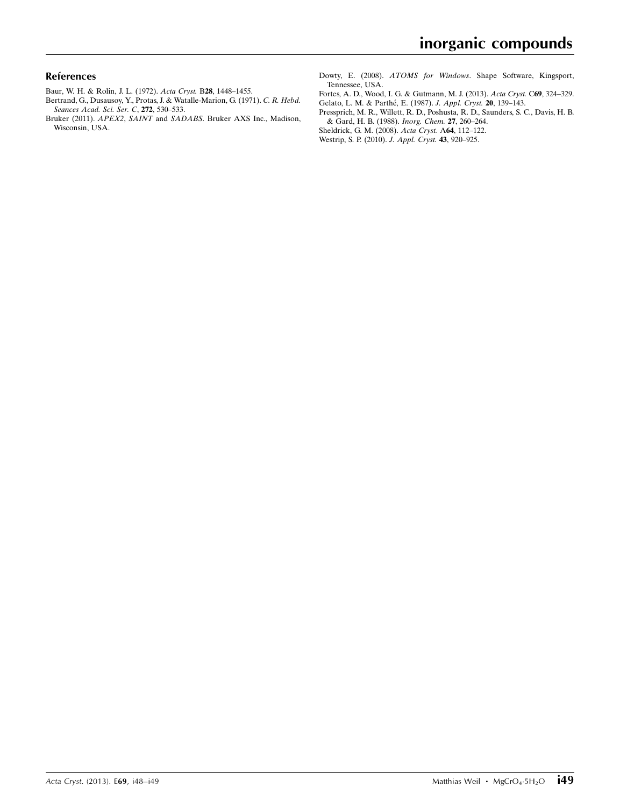### References

- [Baur, W. H. & Rolin, J. L. \(1972\).](https://scripts.iucr.org/cgi-bin/cr.cgi?rm=pdfbb&cnor=br2229&bbid=BB1) Acta Cryst. B28, 1448–1455.
- [Bertrand, G., Dusausoy, Y., Protas, J. & Watalle-Marion, G. \(1971\).](https://scripts.iucr.org/cgi-bin/cr.cgi?rm=pdfbb&cnor=br2229&bbid=BB2) C. R. Hebd. [Seances Acad. Sci. Ser. C](https://scripts.iucr.org/cgi-bin/cr.cgi?rm=pdfbb&cnor=br2229&bbid=BB2), 272, 530–533.
- Bruker (2011). APEX2, SAINT and SADABS[. Bruker AXS Inc., Madison,](https://scripts.iucr.org/cgi-bin/cr.cgi?rm=pdfbb&cnor=br2229&bbid=BB3) [Wisconsin, USA.](https://scripts.iucr.org/cgi-bin/cr.cgi?rm=pdfbb&cnor=br2229&bbid=BB3)

Dowty, E. (2008). ATOMS for Windows[. Shape Software, Kingsport,](https://scripts.iucr.org/cgi-bin/cr.cgi?rm=pdfbb&cnor=br2229&bbid=BB4) [Tennessee, USA.](https://scripts.iucr.org/cgi-bin/cr.cgi?rm=pdfbb&cnor=br2229&bbid=BB4)

- [Fortes, A. D., Wood, I. G. & Gutmann, M. J. \(2013\).](https://scripts.iucr.org/cgi-bin/cr.cgi?rm=pdfbb&cnor=br2229&bbid=BB5) Acta Cryst. C69, 324–329. [Gelato, L. M. & Parthe´, E. \(1987\).](https://scripts.iucr.org/cgi-bin/cr.cgi?rm=pdfbb&cnor=br2229&bbid=BB6) J. Appl. Cryst. 20, 139–143.
- [Pressprich, M. R., Willett, R. D., Poshusta, R. D., Saunders, S. C., Davis, H. B.](https://scripts.iucr.org/cgi-bin/cr.cgi?rm=pdfbb&cnor=br2229&bbid=BB7) [& Gard, H. B. \(1988\).](https://scripts.iucr.org/cgi-bin/cr.cgi?rm=pdfbb&cnor=br2229&bbid=BB7) Inorg. Chem. 27, 260–264.
- [Sheldrick, G. M. \(2008\).](https://scripts.iucr.org/cgi-bin/cr.cgi?rm=pdfbb&cnor=br2229&bbid=BB8) Acta Cryst. A64, 112–122. [Westrip, S. P. \(2010\).](https://scripts.iucr.org/cgi-bin/cr.cgi?rm=pdfbb&cnor=br2229&bbid=BB9) J. Appl. Cryst. 43, 920–925.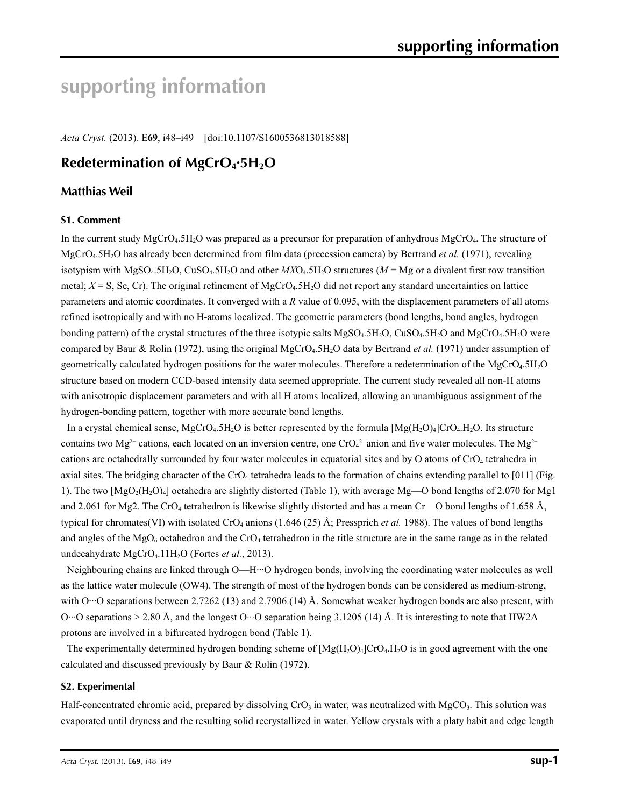# **supporting information**

*Acta Cryst.* (2013). E**69**, i48–i49 [doi:10.1107/S1600536813018588]

## **Redetermination of MgCrO4·5H2O**

### **Matthias Weil**

### **S1. Comment**

In the current study MgCrO<sub>4</sub>.5H<sub>2</sub>O was prepared as a precursor for preparation of anhydrous MgCrO<sub>4</sub>. The structure of MgCrO4.5H2O has already been determined from film data (precession camera) by Bertrand *et al.* (1971), revealing isotypism with MgSO<sub>4</sub>.5H<sub>2</sub>O, CuSO<sub>4</sub>.5H<sub>2</sub>O and other  $MXO<sub>4</sub>$ .5H<sub>2</sub>O structures ( $M = Mg$  or a divalent first row transition metal;  $X = S$ , Se, Cr). The original refinement of MgCrO<sub>4</sub>.5H<sub>2</sub>O did not report any standard uncertainties on lattice parameters and atomic coordinates. It converged with a *R* value of 0.095, with the displacement parameters of all atoms refined isotropically and with no H-atoms localized. The geometric parameters (bond lengths, bond angles, hydrogen bonding pattern) of the crystal structures of the three isotypic salts MgSO<sub>4</sub>.5H<sub>2</sub>O, CuSO<sub>4</sub>.5H<sub>2</sub>O and MgCrO<sub>4</sub>.5H<sub>2</sub>O were compared by Baur & Rolin (1972), using the original MgCrO4.5H2O data by Bertrand *et al.* (1971) under assumption of geometrically calculated hydrogen positions for the water molecules. Therefore a redetermination of the MgCrO4.5H2O structure based on modern CCD-based intensity data seemed appropriate. The current study revealed all non-H atoms with anisotropic displacement parameters and with all H atoms localized, allowing an unambiguous assignment of the hydrogen-bonding pattern, together with more accurate bond lengths.

In a crystal chemical sense, MgCrO<sub>4</sub>.5H<sub>2</sub>O is better represented by the formula  $[Mg(H_2O)_4]CrO_4H_2O$ . Its structure contains two Mg<sup>2+</sup> cations, each located on an inversion centre, one CrO<sub>4</sub><sup>2</sup> anion and five water molecules. The Mg<sup>2+</sup> cations are octahedrally surrounded by four water molecules in equatorial sites and by O atoms of CrO4 tetrahedra in axial sites. The bridging character of the  $CrO<sub>4</sub>$  tetrahedra leads to the formation of chains extending parallel to [011] (Fig. 1). The two [MgO2(H2O)4] octahedra are slightly distorted (Table 1), with average Mg—O bond lengths of 2.070 for Mg1 and 2.061 for Mg2. The CrO<sub>4</sub> tetrahedron is likewise slightly distorted and has a mean Cr—O bond lengths of 1.658 Å, typical for chromates(VI) with isolated CrO<sub>4</sub> anions (1.646 (25) Å; Pressprich *et al.* 1988). The values of bond lengths and angles of the  $MgO_6$  octahedron and the CrO<sub>4</sub> tetrahedron in the title structure are in the same range as in the related undecahydrate MgCrO4.11H2O (Fortes *et al.*, 2013).

Neighbouring chains are linked through O—H···O hydrogen bonds, involving the coordinating water molecules as well as the lattice water molecule (OW4). The strength of most of the hydrogen bonds can be considered as medium-strong, with O···O separations between 2.7262 (13) and 2.7906 (14) Å. Somewhat weaker hydrogen bonds are also present, with O…O separations  $> 2.80$  Å, and the longest O…O separation being 3.1205 (14) Å. It is interesting to note that HW2A protons are involved in a bifurcated hydrogen bond (Table 1).

The experimentally determined hydrogen bonding scheme of  $[Mg(H_2O)_4]CrO_4.H_2O$  is in good agreement with the one calculated and discussed previously by Baur & Rolin (1972).

### **S2. Experimental**

Half-concentrated chromic acid, prepared by dissolving  $CrO<sub>3</sub>$  in water, was neutralized with MgCO<sub>3</sub>. This solution was evaporated until dryness and the resulting solid recrystallized in water. Yellow crystals with a platy habit and edge length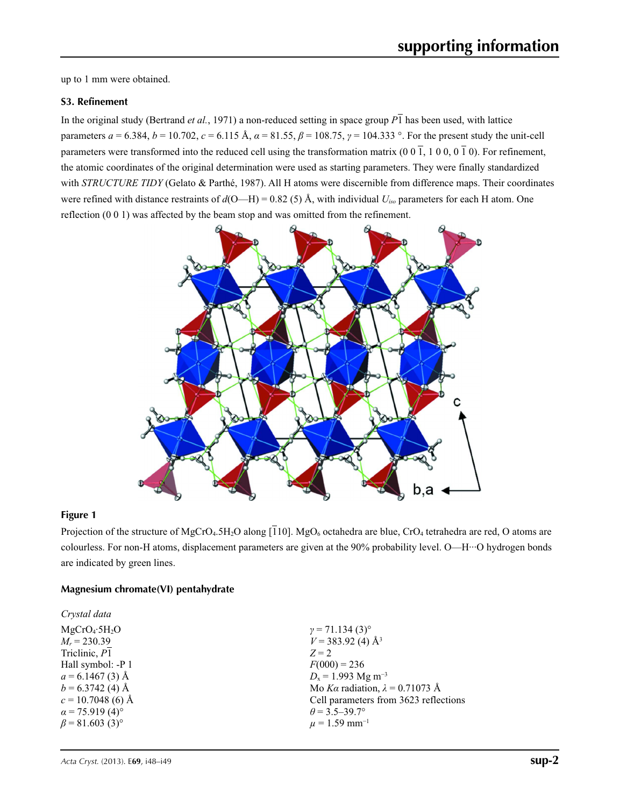up to 1 mm were obtained.

### **S3. Refinement**

In the original study (Bertrand *et al.*, 1971) a non-reduced setting in space group  $\overline{P1}$  has been used, with lattice parameters  $a = 6.384$ ,  $b = 10.702$ ,  $c = 6.115$  Å,  $a = 81.55$ ,  $\beta = 108.75$ ,  $\gamma = 104.333$  °. For the present study the unit-cell parameters were transformed into the reduced cell using the transformation matrix (0 0  $\overline{1}$ , 1 0 0, 0  $\overline{1}$ ). For refinement, the atomic coordinates of the original determination were used as starting parameters. They were finally standardized with *STRUCTURE TIDY* (Gelato & Parthé, 1987). All H atoms were discernible from difference maps. Their coordinates were refined with distance restraints of  $d(O-H) = 0.82$  (5) Å, with individual  $U_{iso}$  parameters for each H atom. One reflection (0 0 1) was affected by the beam stop and was omitted from the refinement.



### **Figure 1**

Projection of the structure of MgCrO<sub>4</sub>.5H<sub>2</sub>O along [110]. MgO<sub>6</sub> octahedra are blue, CrO<sub>4</sub> tetrahedra are red, O atoms are colourless. For non-H atoms, displacement parameters are given at the 90% probability level. O—H···O hydrogen bonds are indicated by green lines.

### **Magnesium chromate(VI) pentahydrate**

| $\gamma = 71.134(3)$ °                 |
|----------------------------------------|
| $V = 383.92$ (4) Å <sup>3</sup>        |
| $Z = 2$                                |
| $F(000) = 236$                         |
| $D_x = 1.993$ Mg m <sup>-3</sup>       |
| Mo Ka radiation, $\lambda = 0.71073$ Å |
| Cell parameters from 3623 reflections  |
| $\theta$ = 3.5–39.7°                   |
| $\mu$ = 1.59 mm <sup>-1</sup>          |
|                                        |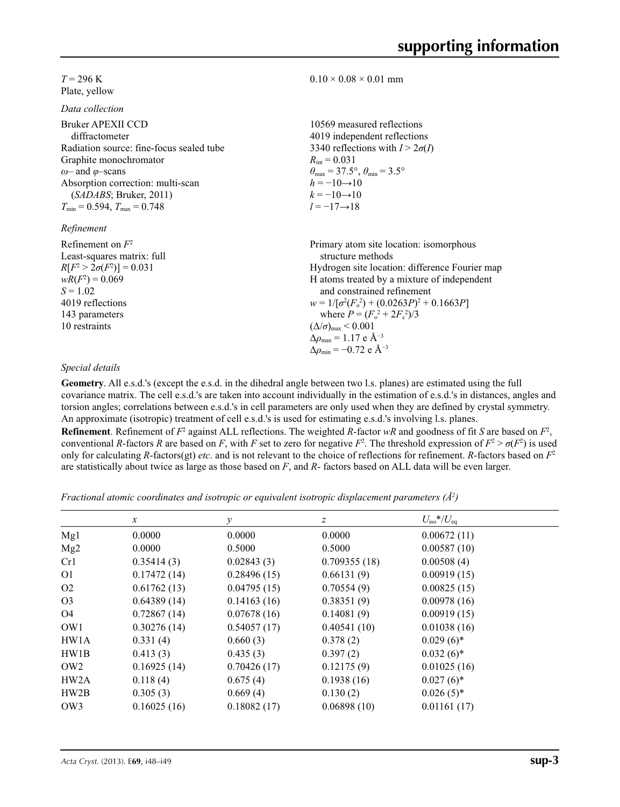### $T = 296$  K Plate, yellow

*Data collection*

| Bruker APEXII CCD                        | 10569 measured reflections                                              |
|------------------------------------------|-------------------------------------------------------------------------|
| diffractometer                           | 4019 independent reflections                                            |
| Radiation source: fine-focus sealed tube | 3340 reflections with $I > 2\sigma(I)$                                  |
| Graphite monochromator                   | $R_{\text{int}} = 0.031$                                                |
| $\omega$ and $\varphi$ -scans            | $\theta_{\text{max}} = 37.5^{\circ}, \theta_{\text{min}} = 3.5^{\circ}$ |
| Absorption correction: multi-scan        | $h = -10 \rightarrow 10$                                                |
| (SADABS; Bruker, 2011)                   | $k = -10 \rightarrow 10$                                                |
| $T_{\min} = 0.594$ , $T_{\max} = 0.748$  | $l = -17 \rightarrow 18$                                                |
| Refinement                               |                                                                         |
| Refinement on $F^2$                      | Primary atom site location: isomorphous                                 |
| Least-squares matrix: full               | structure methods                                                       |

tructure methods Hydrogen site location: difference Fourier map H atoms treated by a mixture of independent and constrained refinement  $w = 1/[\sigma^2 (F_o^2) + (0.0263P)^2 + 0.1663P]$ where  $P = (F_o^2 + 2F_c^2)/3$  $(\Delta/\sigma)_{\text{max}}$  < 0.001 Δ*ρ*max = 1.17 e Å−3

 $0.10 \times 0.08 \times 0.01$  mm

### *Special details*

 $R[F^2 > 2\sigma(F^2)] = 0.031$  $wR(F^2) = 0.069$  $S = 1.02$ 4019 reflections 143 parameters 10 restraints

**Geometry**. All e.s.d.'s (except the e.s.d. in the dihedral angle between two l.s. planes) are estimated using the full covariance matrix. The cell e.s.d.'s are taken into account individually in the estimation of e.s.d.'s in distances, angles and torsion angles; correlations between e.s.d.'s in cell parameters are only used when they are defined by crystal symmetry. An approximate (isotropic) treatment of cell e.s.d.'s is used for estimating e.s.d.'s involving l.s. planes. **Refinement**. Refinement of  $F^2$  against ALL reflections. The weighted *R*-factor  $wR$  and goodness of fit *S* are based on  $F^2$ , conventional *R*-factors *R* are based on *F*, with *F* set to zero for negative  $F^2$ . The threshold expression of  $F^2 > \sigma(F^2)$  is used only for calculating *R*-factors(gt) *etc*. and is not relevant to the choice of reflections for refinement. *R*-factors based on *F*<sup>2</sup> are statistically about twice as large as those based on *F*, and *R*- factors based on ALL data will be even larger.

 $\Delta \rho_{\rm min} = -0.72$  e Å<sup>-3</sup>

*Fractional atomic coordinates and isotropic or equivalent isotropic displacement parameters (Å2 )*

|                 | $\boldsymbol{x}$ | v           | Ζ            | $U_{\rm iso}*/U_{\rm eq}$ |  |
|-----------------|------------------|-------------|--------------|---------------------------|--|
| Mg1             | 0.0000           | 0.0000      | 0.0000       | 0.00672(11)               |  |
| Mg2             | 0.0000           | 0.5000      | 0.5000       | 0.00587(10)               |  |
| Cr1             | 0.35414(3)       | 0.02843(3)  | 0.709355(18) | 0.00508(4)                |  |
| <b>O1</b>       | 0.17472(14)      | 0.28496(15) | 0.66131(9)   | 0.00919(15)               |  |
| O <sub>2</sub>  | 0.61762(13)      | 0.04795(15) | 0.70554(9)   | 0.00825(15)               |  |
| O <sub>3</sub>  | 0.64389(14)      | 0.14163(16) | 0.38351(9)   | 0.00978(16)               |  |
| O4              | 0.72867(14)      | 0.07678(16) | 0.14081(9)   | 0.00919(15)               |  |
| OW1             | 0.30276(14)      | 0.54057(17) | 0.40541(10)  | 0.01038(16)               |  |
| HW1A            | 0.331(4)         | 0.660(3)    | 0.378(2)     | $0.029(6)$ *              |  |
| HW1B            | 0.413(3)         | 0.435(3)    | 0.397(2)     | $0.032(6)$ *              |  |
| OW <sub>2</sub> | 0.16925(14)      | 0.70426(17) | 0.12175(9)   | 0.01025(16)               |  |
| HW2A            | 0.118(4)         | 0.675(4)    | 0.1938(16)   | $0.027(6)$ *              |  |
| HW2B            | 0.305(3)         | 0.669(4)    | 0.130(2)     | $0.026(5)$ *              |  |
| OW3             | 0.16025(16)      | 0.18082(17) | 0.06898(10)  | 0.01161(17)               |  |
|                 |                  |             |              |                           |  |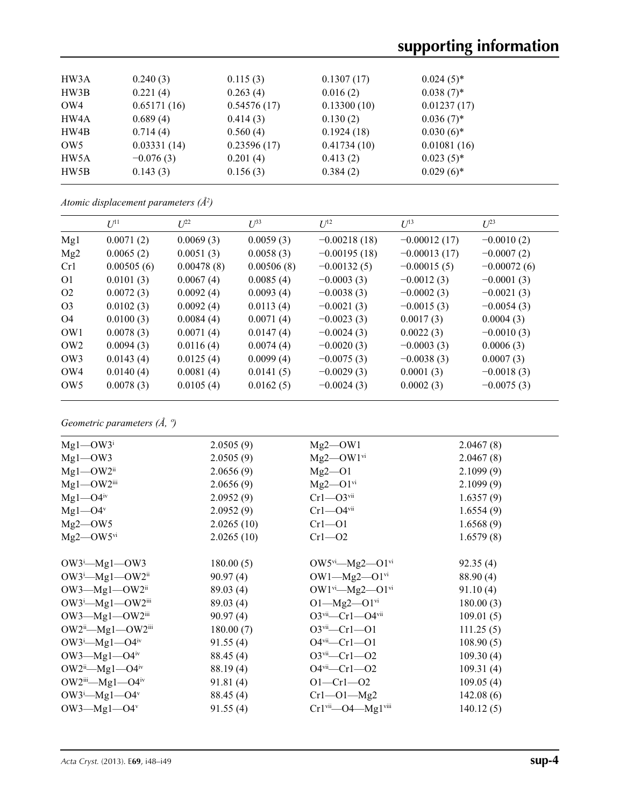| HW3A            | 0.240(3)    | 0.115(3)    | 0.1307(17)  | $0.024(5)$ * |
|-----------------|-------------|-------------|-------------|--------------|
| HW3B            | 0.221(4)    | 0.263(4)    | 0.016(2)    | $0.038(7)$ * |
| OW4             | 0.65171(16) | 0.54576(17) | 0.13300(10) | 0.01237(17)  |
| HW4A            | 0.689(4)    | 0.414(3)    | 0.130(2)    | $0.036(7)$ * |
| HW4B            | 0.714(4)    | 0.560(4)    | 0.1924(18)  | $0.030(6)$ * |
| OW <sub>5</sub> | 0.03331(14) | 0.23596(17) | 0.41734(10) | 0.01081(16)  |
| HW5A            | $-0.076(3)$ | 0.201(4)    | 0.413(2)    | $0.023(5)^*$ |
| HW5B            | 0.143(3)    | 0.156(3)    | 0.384(2)    | $0.029(6)$ * |
|                 |             |             |             |              |

*Atomic displacement parameters (Å2 )*

|                 | $U^{11}$   | $L^{22}$   | $\mathcal{L}^{\beta 3}$ | $I^{12}$       | $U^{13}$       | $U^{23}$      |
|-----------------|------------|------------|-------------------------|----------------|----------------|---------------|
| Mg1             | 0.0071(2)  | 0.0069(3)  | 0.0059(3)               | $-0.00218(18)$ | $-0.00012(17)$ | $-0.0010(2)$  |
| Mg2             | 0.0065(2)  | 0.0051(3)  | 0.0058(3)               | $-0.00195(18)$ | $-0.00013(17)$ | $-0.0007(2)$  |
| Cr1             | 0.00505(6) | 0.00478(8) | 0.00506(8)              | $-0.00132(5)$  | $-0.00015(5)$  | $-0.00072(6)$ |
| O <sub>1</sub>  | 0.0101(3)  | 0.0067(4)  | 0.0085(4)               | $-0.0003(3)$   | $-0.0012(3)$   | $-0.0001(3)$  |
| O <sub>2</sub>  | 0.0072(3)  | 0.0092(4)  | 0.0093(4)               | $-0.0038(3)$   | $-0.0002(3)$   | $-0.0021(3)$  |
| O <sub>3</sub>  | 0.0102(3)  | 0.0092(4)  | 0.0113(4)               | $-0.0021(3)$   | $-0.0015(3)$   | $-0.0054(3)$  |
| O <sub>4</sub>  | 0.0100(3)  | 0.0084(4)  | 0.0071(4)               | $-0.0023(3)$   | 0.0017(3)      | 0.0004(3)     |
| OW1             | 0.0078(3)  | 0.0071(4)  | 0.0147(4)               | $-0.0024(3)$   | 0.0022(3)      | $-0.0010(3)$  |
| OW <sub>2</sub> | 0.0094(3)  | 0.0116(4)  | 0.0074(4)               | $-0.0020(3)$   | $-0.0003(3)$   | 0.0006(3)     |
| OW <sub>3</sub> | 0.0143(4)  | 0.0125(4)  | 0.0099(4)               | $-0.0075(3)$   | $-0.0038(3)$   | 0.0007(3)     |
| OW4             | 0.0140(4)  | 0.0081(4)  | 0.0141(5)               | $-0.0029(3)$   | 0.0001(3)      | $-0.0018(3)$  |
| OW <sub>5</sub> | 0.0078(3)  | 0.0105(4)  | 0.0162(5)               | $-0.0024(3)$   | 0.0002(3)      | $-0.0075(3)$  |

*Geometric parameters (Å, º)*

| $Mg1$ —OW3 <sup>i</sup>                    | 2.0505(9)  | $Mg2$ —OW1                                   | 2.0467(8) |  |
|--------------------------------------------|------------|----------------------------------------------|-----------|--|
| $Mg1$ —OW3                                 | 2.0505(9)  | $Mg2$ —OW $1$ <sup>vi</sup>                  | 2.0467(8) |  |
| $Mg1$ — $OW2$ <sup>ii</sup>                | 2.0656(9)  | $Mg2 - O1$                                   | 2.1099(9) |  |
| $Mg1$ — $OW2$ <sup>iii</sup>               | 2.0656(9)  | $Mg2-O1$ <sup>vi</sup>                       | 2.1099(9) |  |
| $Mg1 - O4$ <sup>iv</sup>                   | 2.0952(9)  | $Cr1 - O3$ <sup>vii</sup>                    | 1.6357(9) |  |
| $Mg1 - O4v$                                | 2.0952(9)  | $Cr1 - O4$ <sup>vii</sup>                    | 1.6554(9) |  |
| $Mg2$ —OW5                                 | 2.0265(10) | $Cr1 - O1$                                   | 1.6568(9) |  |
| $Mg2$ — $OW5$ <sup>vi</sup>                | 2.0265(10) | $Cr1 - O2$                                   | 1.6579(8) |  |
|                                            |            |                                              |           |  |
| $OW3^i$ -Mg1--OW3                          | 180.00(5)  | $OW5^{vi}$ — $Mg2$ — $O1^{vi}$               | 92.35(4)  |  |
| $OW3^i$ -Mg1--OW2 <sup>ii</sup>            | 90.97(4)   | $OW1 - Mg2 - O1$ <sup>vi</sup>               | 88.90 (4) |  |
| $OW3$ —Mg1—OW2 <sup>ii</sup>               | 89.03(4)   | $OW1^{vi}$ — $Mg2$ — $O1^{vi}$               | 91.10(4)  |  |
| $OW3^i$ -Mg1--OW2iii                       | 89.03(4)   | $O1 - Mg2 - O1$ <sup>vi</sup>                | 180.00(3) |  |
| $OW3$ —Mg1—OW2iii                          | 90.97(4)   | $O3$ <sup>vii</sup> —Cr1—O4 <sup>vii</sup>   | 109.01(5) |  |
| $OW2^{\text{ii}}$ —Mg1—OW2 $^{\text{iii}}$ | 180.00(7)  | $O3$ <sup>vii</sup> —Cr1—O1                  | 111.25(5) |  |
| $OW3^i$ -Mg1- $O4^{iv}$                    | 91.55(4)   | $O4$ <sup>vii</sup> —Cr1—O1                  | 108.90(5) |  |
| $OW3$ —Mg1—O4 <sup>iv</sup>                | 88.45 (4)  | $O3$ <sup>vii</sup> —Cr1—O2                  | 109.30(4) |  |
| $OW2^{\text{ii}}$ -Mg1- $O4^{\text{iv}}$   | 88.19(4)   | $O4$ <sup>vii</sup> —Cr1—O2                  | 109.31(4) |  |
| OW2iii—Mg1—O4iv                            | 91.81(4)   | $O1 - Cr1 - O2$                              | 109.05(4) |  |
| $OW3^i$ -Mg1- $O4^v$                       | 88.45(4)   | $Cr1 - O1 - Mg2$                             | 142.08(6) |  |
| OW3- $Mgl$ -O4v                            | 91.55(4)   | $Cr1$ <sup>vii</sup> —O4—Mg1 <sup>viii</sup> | 140.12(5) |  |
|                                            |            |                                              |           |  |